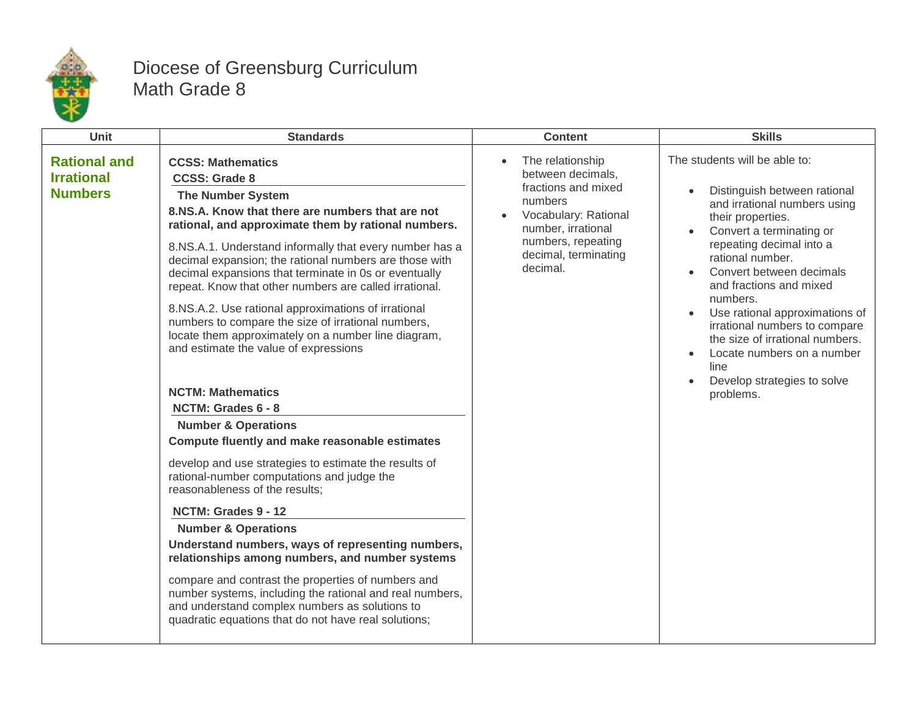

## Diocese of Greensburg Curriculum Math Grade 8

| Unit                                                       | <b>Standards</b>                                                                                                                                                                                                                                                                                                                                                                                                                                                                                                                                                                                                                                                                                                                                                                                                                                                                                                                                                                                                                                                                                                                                                                                                                                                                                                         | <b>Content</b>                                                                                                                                                                               | <b>Skills</b>                                                                                                                                                                                                                                                                                                                                                                                                                                             |
|------------------------------------------------------------|--------------------------------------------------------------------------------------------------------------------------------------------------------------------------------------------------------------------------------------------------------------------------------------------------------------------------------------------------------------------------------------------------------------------------------------------------------------------------------------------------------------------------------------------------------------------------------------------------------------------------------------------------------------------------------------------------------------------------------------------------------------------------------------------------------------------------------------------------------------------------------------------------------------------------------------------------------------------------------------------------------------------------------------------------------------------------------------------------------------------------------------------------------------------------------------------------------------------------------------------------------------------------------------------------------------------------|----------------------------------------------------------------------------------------------------------------------------------------------------------------------------------------------|-----------------------------------------------------------------------------------------------------------------------------------------------------------------------------------------------------------------------------------------------------------------------------------------------------------------------------------------------------------------------------------------------------------------------------------------------------------|
| <b>Rational and</b><br><b>Irrational</b><br><b>Numbers</b> | <b>CCSS: Mathematics</b><br><b>CCSS: Grade 8</b><br><b>The Number System</b><br>8.NS.A. Know that there are numbers that are not<br>rational, and approximate them by rational numbers.<br>8.NS.A.1. Understand informally that every number has a<br>decimal expansion; the rational numbers are those with<br>decimal expansions that terminate in 0s or eventually<br>repeat. Know that other numbers are called irrational.<br>8.NS.A.2. Use rational approximations of irrational<br>numbers to compare the size of irrational numbers,<br>locate them approximately on a number line diagram,<br>and estimate the value of expressions<br><b>NCTM: Mathematics</b><br>NCTM: Grades 6 - 8<br><b>Number &amp; Operations</b><br>Compute fluently and make reasonable estimates<br>develop and use strategies to estimate the results of<br>rational-number computations and judge the<br>reasonableness of the results;<br>NCTM: Grades 9 - 12<br><b>Number &amp; Operations</b><br>Understand numbers, ways of representing numbers,<br>relationships among numbers, and number systems<br>compare and contrast the properties of numbers and<br>number systems, including the rational and real numbers,<br>and understand complex numbers as solutions to<br>quadratic equations that do not have real solutions; | The relationship<br>$\bullet$<br>between decimals.<br>fractions and mixed<br>numbers<br>Vocabulary: Rational<br>number, irrational<br>numbers, repeating<br>decimal, terminating<br>decimal. | The students will be able to:<br>Distinguish between rational<br>and irrational numbers using<br>their properties.<br>Convert a terminating or<br>repeating decimal into a<br>rational number.<br>Convert between decimals<br>and fractions and mixed<br>numbers.<br>Use rational approximations of<br>irrational numbers to compare<br>the size of irrational numbers.<br>Locate numbers on a number<br>line<br>Develop strategies to solve<br>problems. |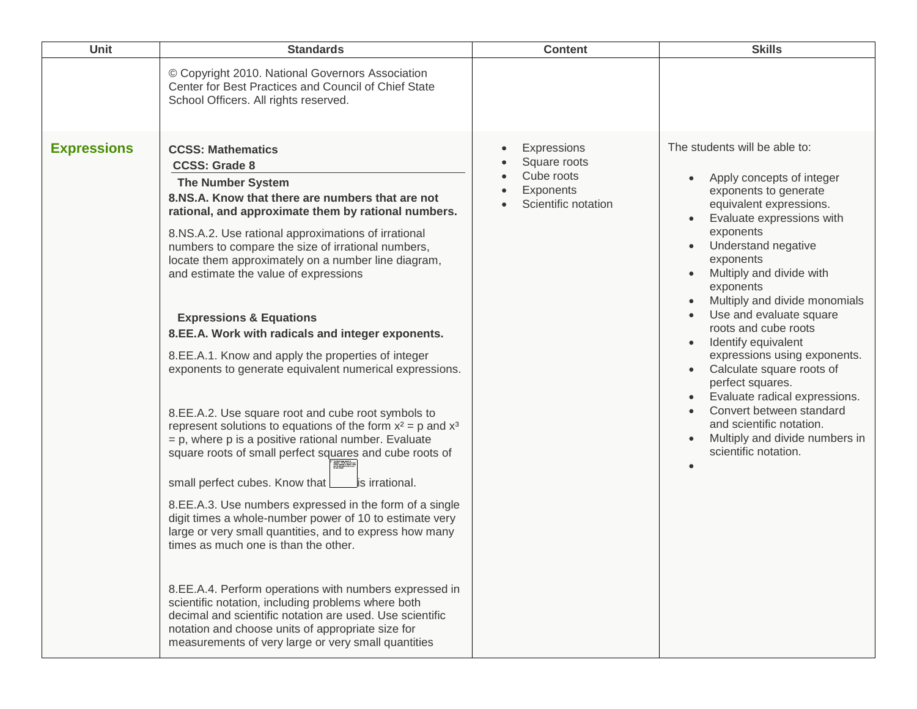| <b>Unit</b>        | <b>Standards</b>                                                                                                                                                                                                                                                                                                                                                                                                                                                                                                                                                                                                                                                                                                                                                                                                                                                                                                                                                                                                                                                                                                                                                                                                                                                                                                                                                                                                                                 | <b>Content</b>                                                                             | <b>Skills</b>                                                                                                                                                                                                                                                                                                                                                                                                                                                                                                                                                                        |
|--------------------|--------------------------------------------------------------------------------------------------------------------------------------------------------------------------------------------------------------------------------------------------------------------------------------------------------------------------------------------------------------------------------------------------------------------------------------------------------------------------------------------------------------------------------------------------------------------------------------------------------------------------------------------------------------------------------------------------------------------------------------------------------------------------------------------------------------------------------------------------------------------------------------------------------------------------------------------------------------------------------------------------------------------------------------------------------------------------------------------------------------------------------------------------------------------------------------------------------------------------------------------------------------------------------------------------------------------------------------------------------------------------------------------------------------------------------------------------|--------------------------------------------------------------------------------------------|--------------------------------------------------------------------------------------------------------------------------------------------------------------------------------------------------------------------------------------------------------------------------------------------------------------------------------------------------------------------------------------------------------------------------------------------------------------------------------------------------------------------------------------------------------------------------------------|
|                    | © Copyright 2010. National Governors Association<br>Center for Best Practices and Council of Chief State<br>School Officers. All rights reserved.                                                                                                                                                                                                                                                                                                                                                                                                                                                                                                                                                                                                                                                                                                                                                                                                                                                                                                                                                                                                                                                                                                                                                                                                                                                                                                |                                                                                            |                                                                                                                                                                                                                                                                                                                                                                                                                                                                                                                                                                                      |
| <b>Expressions</b> | <b>CCSS: Mathematics</b><br><b>CCSS: Grade 8</b><br><b>The Number System</b><br>8.NS.A. Know that there are numbers that are not<br>rational, and approximate them by rational numbers.<br>8.NS.A.2. Use rational approximations of irrational<br>numbers to compare the size of irrational numbers,<br>locate them approximately on a number line diagram,<br>and estimate the value of expressions<br><b>Expressions &amp; Equations</b><br>8.EE.A. Work with radicals and integer exponents.<br>8.EE.A.1. Know and apply the properties of integer<br>exponents to generate equivalent numerical expressions.<br>8.EE.A.2. Use square root and cube root symbols to<br>represent solutions to equations of the form $x^2 = p$ and $x^3$<br>$= p$ , where p is a positive rational number. Evaluate<br>square roots of small perfect squares and cube roots of<br>small perfect cubes. Know that $\lfloor$<br>lis irrational.<br>8.EE.A.3. Use numbers expressed in the form of a single<br>digit times a whole-number power of 10 to estimate very<br>large or very small quantities, and to express how many<br>times as much one is than the other.<br>8.EE.A.4. Perform operations with numbers expressed in<br>scientific notation, including problems where both<br>decimal and scientific notation are used. Use scientific<br>notation and choose units of appropriate size for<br>measurements of very large or very small quantities | Expressions<br>$\bullet$<br>Square roots<br>Cube roots<br>Exponents<br>Scientific notation | The students will be able to:<br>Apply concepts of integer<br>exponents to generate<br>equivalent expressions.<br>Evaluate expressions with<br>exponents<br>Understand negative<br>exponents<br>Multiply and divide with<br>exponents<br>Multiply and divide monomials<br>Use and evaluate square<br>roots and cube roots<br>Identify equivalent<br>expressions using exponents.<br>Calculate square roots of<br>perfect squares.<br>Evaluate radical expressions.<br>Convert between standard<br>and scientific notation.<br>Multiply and divide numbers in<br>scientific notation. |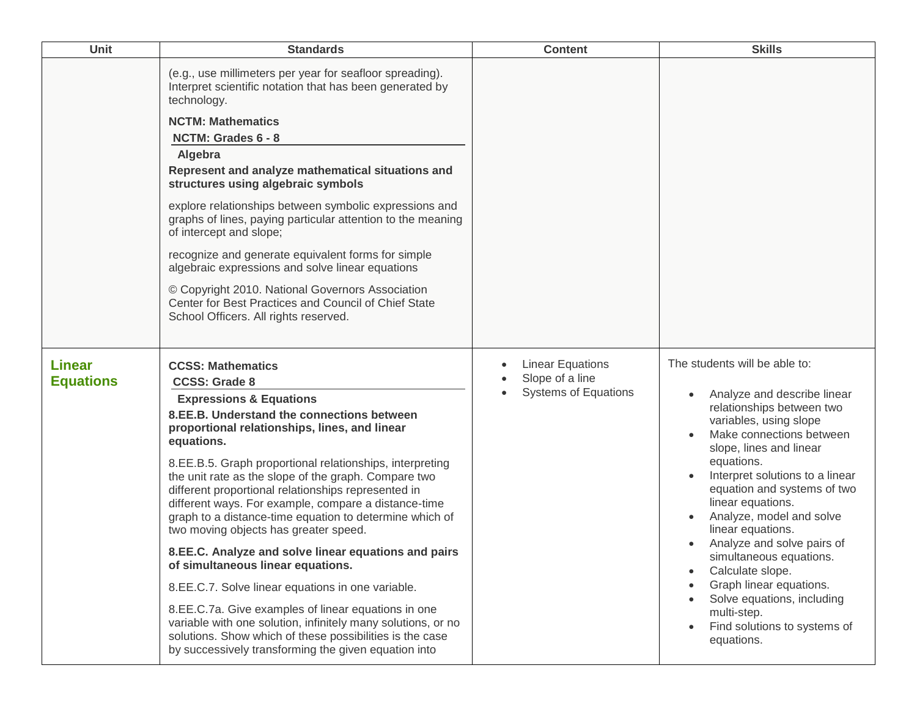| <b>Unit</b>                       | <b>Standards</b>                                                                                                                                                                                                                                                                                                                                                                                                                                                                                                                                                                                                                                                                                                                                                                                                                                                                                                                        | <b>Content</b>                                                                         | <b>Skills</b>                                                                                                                                                                                                                                                                                                                                                                                                                                                                                                                                    |
|-----------------------------------|-----------------------------------------------------------------------------------------------------------------------------------------------------------------------------------------------------------------------------------------------------------------------------------------------------------------------------------------------------------------------------------------------------------------------------------------------------------------------------------------------------------------------------------------------------------------------------------------------------------------------------------------------------------------------------------------------------------------------------------------------------------------------------------------------------------------------------------------------------------------------------------------------------------------------------------------|----------------------------------------------------------------------------------------|--------------------------------------------------------------------------------------------------------------------------------------------------------------------------------------------------------------------------------------------------------------------------------------------------------------------------------------------------------------------------------------------------------------------------------------------------------------------------------------------------------------------------------------------------|
|                                   | (e.g., use millimeters per year for seafloor spreading).<br>Interpret scientific notation that has been generated by<br>technology.<br><b>NCTM: Mathematics</b><br>NCTM: Grades 6 - 8<br>Algebra<br>Represent and analyze mathematical situations and<br>structures using algebraic symbols<br>explore relationships between symbolic expressions and<br>graphs of lines, paying particular attention to the meaning<br>of intercept and slope;<br>recognize and generate equivalent forms for simple<br>algebraic expressions and solve linear equations<br>© Copyright 2010. National Governors Association<br>Center for Best Practices and Council of Chief State<br>School Officers. All rights reserved.                                                                                                                                                                                                                          |                                                                                        |                                                                                                                                                                                                                                                                                                                                                                                                                                                                                                                                                  |
| <b>Linear</b><br><b>Equations</b> | <b>CCSS: Mathematics</b><br><b>CCSS: Grade 8</b><br><b>Expressions &amp; Equations</b><br>8.EE.B. Understand the connections between<br>proportional relationships, lines, and linear<br>equations.<br>8.EE.B.5. Graph proportional relationships, interpreting<br>the unit rate as the slope of the graph. Compare two<br>different proportional relationships represented in<br>different ways. For example, compare a distance-time<br>graph to a distance-time equation to determine which of<br>two moving objects has greater speed.<br>8.EE.C. Analyze and solve linear equations and pairs<br>of simultaneous linear equations.<br>8.EE.C.7. Solve linear equations in one variable.<br>8.EE.C.7a. Give examples of linear equations in one<br>variable with one solution, infinitely many solutions, or no<br>solutions. Show which of these possibilities is the case<br>by successively transforming the given equation into | <b>Linear Equations</b><br>$\bullet$<br>Slope of a line<br><b>Systems of Equations</b> | The students will be able to:<br>Analyze and describe linear<br>relationships between two<br>variables, using slope<br>Make connections between<br>slope, lines and linear<br>equations.<br>Interpret solutions to a linear<br>equation and systems of two<br>linear equations.<br>Analyze, model and solve<br>$\bullet$<br>linear equations.<br>Analyze and solve pairs of<br>simultaneous equations.<br>Calculate slope.<br>Graph linear equations.<br>Solve equations, including<br>multi-step.<br>Find solutions to systems of<br>equations. |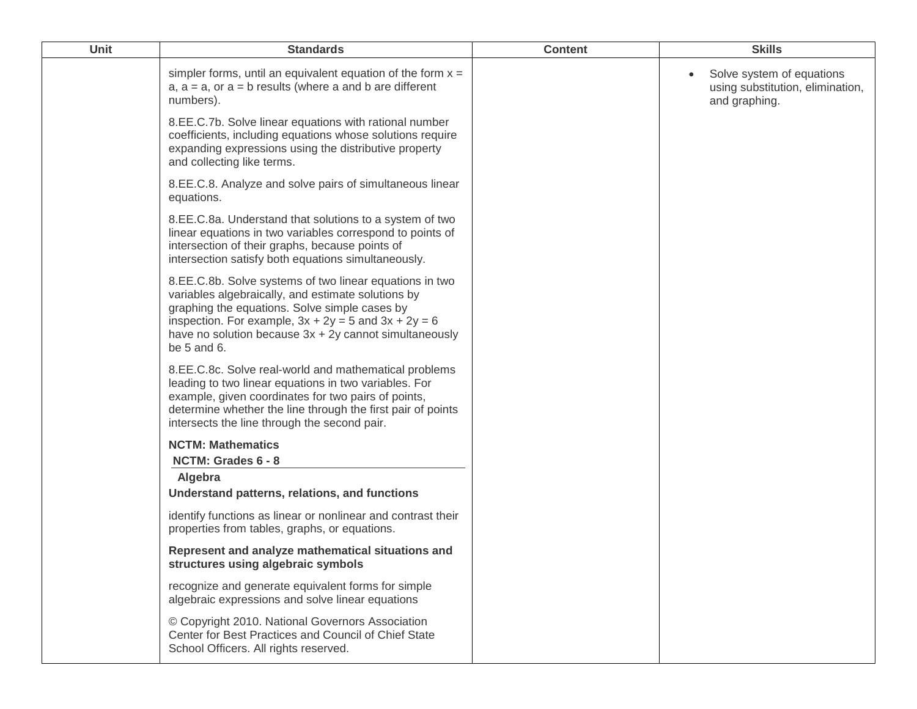| Unit | <b>Standards</b>                                                                                                                                                                                                                                                                                           | <b>Content</b> | <b>Skills</b>                                                                               |
|------|------------------------------------------------------------------------------------------------------------------------------------------------------------------------------------------------------------------------------------------------------------------------------------------------------------|----------------|---------------------------------------------------------------------------------------------|
|      | simpler forms, until an equivalent equation of the form $x =$<br>$a, a = a$ , or $a = b$ results (where a and b are different<br>numbers).                                                                                                                                                                 |                | Solve system of equations<br>$\bullet$<br>using substitution, elimination,<br>and graphing. |
|      | 8.EE.C.7b. Solve linear equations with rational number<br>coefficients, including equations whose solutions require<br>expanding expressions using the distributive property<br>and collecting like terms.                                                                                                 |                |                                                                                             |
|      | 8.EE.C.8. Analyze and solve pairs of simultaneous linear<br>equations.                                                                                                                                                                                                                                     |                |                                                                                             |
|      | 8.EE.C.8a. Understand that solutions to a system of two<br>linear equations in two variables correspond to points of<br>intersection of their graphs, because points of<br>intersection satisfy both equations simultaneously.                                                                             |                |                                                                                             |
|      | 8.EE.C.8b. Solve systems of two linear equations in two<br>variables algebraically, and estimate solutions by<br>graphing the equations. Solve simple cases by<br>inspection. For example, $3x + 2y = 5$ and $3x + 2y = 6$<br>have no solution because $3x + 2y$ cannot simultaneously<br>be $5$ and $6$ . |                |                                                                                             |
|      | 8.EE.C.8c. Solve real-world and mathematical problems<br>leading to two linear equations in two variables. For<br>example, given coordinates for two pairs of points,<br>determine whether the line through the first pair of points<br>intersects the line through the second pair.                       |                |                                                                                             |
|      | <b>NCTM: Mathematics</b><br>NCTM: Grades 6 - 8                                                                                                                                                                                                                                                             |                |                                                                                             |
|      | Algebra<br>Understand patterns, relations, and functions                                                                                                                                                                                                                                                   |                |                                                                                             |
|      | identify functions as linear or nonlinear and contrast their<br>properties from tables, graphs, or equations.                                                                                                                                                                                              |                |                                                                                             |
|      | Represent and analyze mathematical situations and<br>structures using algebraic symbols                                                                                                                                                                                                                    |                |                                                                                             |
|      | recognize and generate equivalent forms for simple<br>algebraic expressions and solve linear equations                                                                                                                                                                                                     |                |                                                                                             |
|      | © Copyright 2010. National Governors Association<br>Center for Best Practices and Council of Chief State<br>School Officers. All rights reserved.                                                                                                                                                          |                |                                                                                             |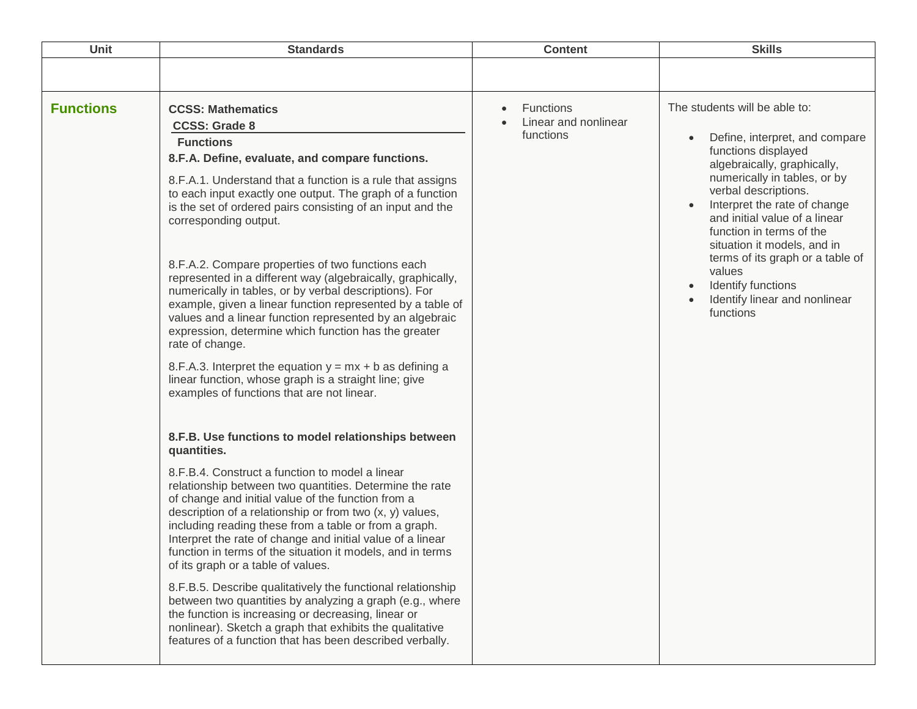| Unit             | <b>Standards</b>                                                                                                                                                                                                                                                                                                                                                                                                                                                                                                                                                                                                                                                                                                                                                                                                                                                                                                                                                        | <b>Content</b>                                                     | <b>Skills</b>                                                                                                                                                                                                                                                                                                                                                                                                                            |
|------------------|-------------------------------------------------------------------------------------------------------------------------------------------------------------------------------------------------------------------------------------------------------------------------------------------------------------------------------------------------------------------------------------------------------------------------------------------------------------------------------------------------------------------------------------------------------------------------------------------------------------------------------------------------------------------------------------------------------------------------------------------------------------------------------------------------------------------------------------------------------------------------------------------------------------------------------------------------------------------------|--------------------------------------------------------------------|------------------------------------------------------------------------------------------------------------------------------------------------------------------------------------------------------------------------------------------------------------------------------------------------------------------------------------------------------------------------------------------------------------------------------------------|
|                  |                                                                                                                                                                                                                                                                                                                                                                                                                                                                                                                                                                                                                                                                                                                                                                                                                                                                                                                                                                         |                                                                    |                                                                                                                                                                                                                                                                                                                                                                                                                                          |
| <b>Functions</b> | <b>CCSS: Mathematics</b><br><b>CCSS: Grade 8</b><br><b>Functions</b><br>8.F.A. Define, evaluate, and compare functions.<br>8.F.A.1. Understand that a function is a rule that assigns<br>to each input exactly one output. The graph of a function<br>is the set of ordered pairs consisting of an input and the<br>corresponding output.<br>8.F.A.2. Compare properties of two functions each<br>represented in a different way (algebraically, graphically,<br>numerically in tables, or by verbal descriptions). For<br>example, given a linear function represented by a table of<br>values and a linear function represented by an algebraic<br>expression, determine which function has the greater<br>rate of change.<br>8.F.A.3. Interpret the equation $y = mx + b$ as defining a<br>linear function, whose graph is a straight line; give<br>examples of functions that are not linear.<br>8.F.B. Use functions to model relationships between<br>quantities. | <b>Functions</b><br>$\bullet$<br>Linear and nonlinear<br>functions | The students will be able to:<br>Define, interpret, and compare<br>$\bullet$<br>functions displayed<br>algebraically, graphically,<br>numerically in tables, or by<br>verbal descriptions.<br>Interpret the rate of change<br>and initial value of a linear<br>function in terms of the<br>situation it models, and in<br>terms of its graph or a table of<br>values<br>Identify functions<br>Identify linear and nonlinear<br>functions |
|                  | 8.F.B.4. Construct a function to model a linear<br>relationship between two quantities. Determine the rate<br>of change and initial value of the function from a<br>description of a relationship or from two $(x, y)$ values,<br>including reading these from a table or from a graph.<br>Interpret the rate of change and initial value of a linear<br>function in terms of the situation it models, and in terms<br>of its graph or a table of values.<br>8.F.B.5. Describe qualitatively the functional relationship<br>between two quantities by analyzing a graph (e.g., where<br>the function is increasing or decreasing, linear or<br>nonlinear). Sketch a graph that exhibits the qualitative<br>features of a function that has been described verbally.                                                                                                                                                                                                     |                                                                    |                                                                                                                                                                                                                                                                                                                                                                                                                                          |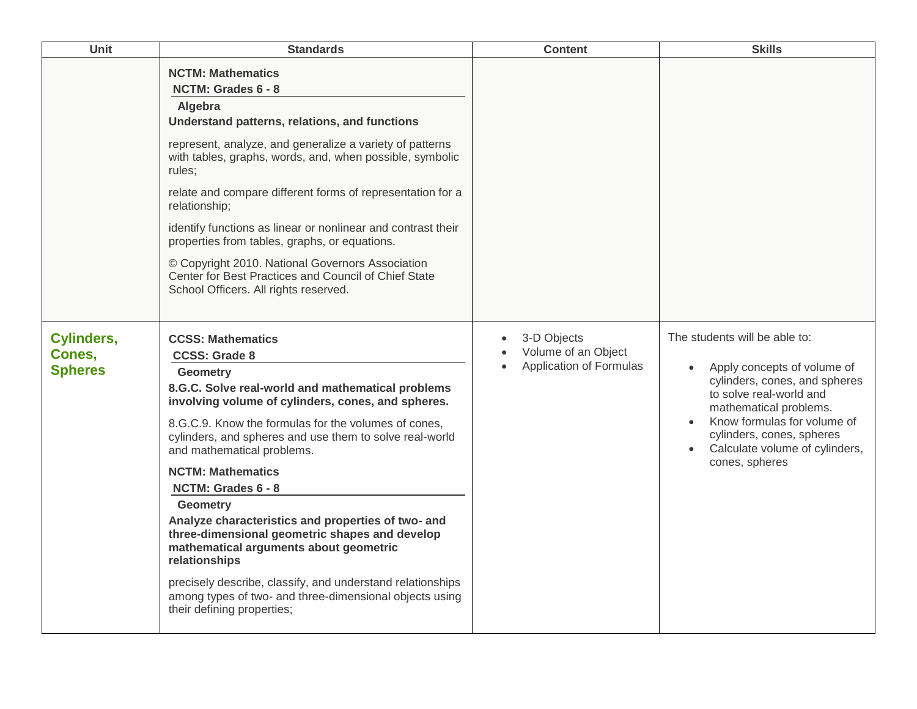| Unit                                          | <b>Standards</b>                                                                                                                                                                                                                                                                                                                                                                                                                                                                                                                                                                                                                                                                                                               | <b>Content</b>                                                             | <b>Skills</b>                                                                                                                                                                                                                                                                   |
|-----------------------------------------------|--------------------------------------------------------------------------------------------------------------------------------------------------------------------------------------------------------------------------------------------------------------------------------------------------------------------------------------------------------------------------------------------------------------------------------------------------------------------------------------------------------------------------------------------------------------------------------------------------------------------------------------------------------------------------------------------------------------------------------|----------------------------------------------------------------------------|---------------------------------------------------------------------------------------------------------------------------------------------------------------------------------------------------------------------------------------------------------------------------------|
|                                               | <b>NCTM: Mathematics</b><br>NCTM: Grades 6 - 8<br>Algebra<br>Understand patterns, relations, and functions<br>represent, analyze, and generalize a variety of patterns<br>with tables, graphs, words, and, when possible, symbolic<br>rules;<br>relate and compare different forms of representation for a<br>relationship;<br>identify functions as linear or nonlinear and contrast their<br>properties from tables, graphs, or equations.<br>© Copyright 2010. National Governors Association<br>Center for Best Practices and Council of Chief State<br>School Officers. All rights reserved.                                                                                                                              |                                                                            |                                                                                                                                                                                                                                                                                 |
| <b>Cylinders,</b><br>Cones,<br><b>Spheres</b> | <b>CCSS: Mathematics</b><br><b>CCSS: Grade 8</b><br><b>Geometry</b><br>8.G.C. Solve real-world and mathematical problems<br>involving volume of cylinders, cones, and spheres.<br>8.G.C.9. Know the formulas for the volumes of cones,<br>cylinders, and spheres and use them to solve real-world<br>and mathematical problems.<br><b>NCTM: Mathematics</b><br>NCTM: Grades 6 - 8<br><b>Geometry</b><br>Analyze characteristics and properties of two- and<br>three-dimensional geometric shapes and develop<br>mathematical arguments about geometric<br>relationships<br>precisely describe, classify, and understand relationships<br>among types of two- and three-dimensional objects using<br>their defining properties; | 3-D Objects<br>$\bullet$<br>Volume of an Object<br>Application of Formulas | The students will be able to:<br>Apply concepts of volume of<br>cylinders, cones, and spheres<br>to solve real-world and<br>mathematical problems.<br>Know formulas for volume of<br>cylinders, cones, spheres<br>Calculate volume of cylinders,<br>$\bullet$<br>cones, spheres |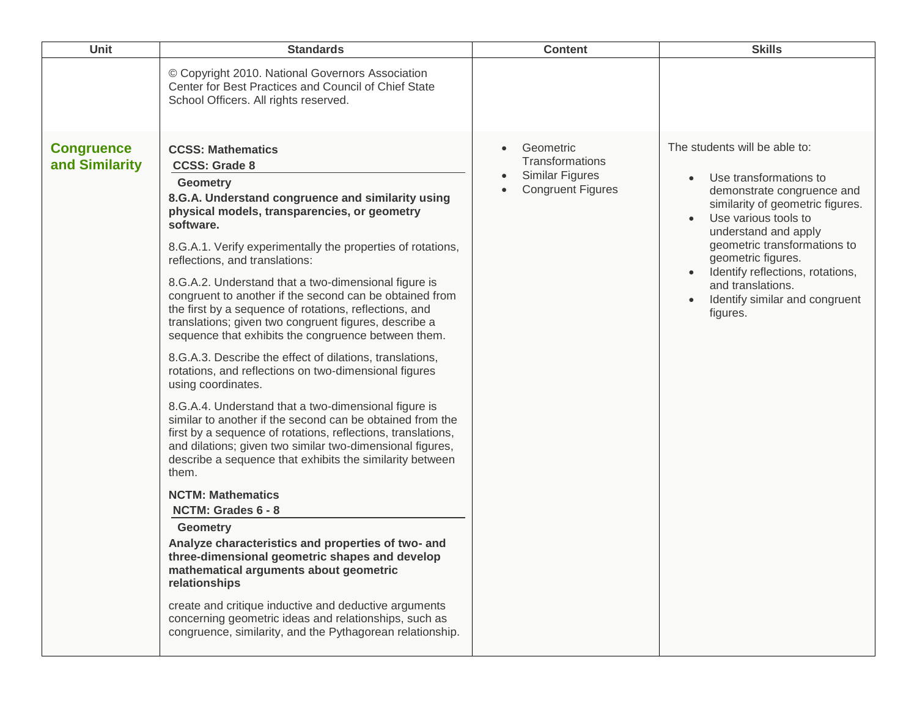| <b>Unit</b>                         | <b>Standards</b>                                                                                                                                                                                                                                                                                                                                                                                                                                                                                                                                                                                                                                                                                                                                                                                                                                                                                                                                                                                                                                                                                                                                                                                                                                                                                                                                                                                                                                                                    | <b>Content</b>                                                              | <b>Skills</b>                                                                                                                                                                                                                                                                                                                                                                 |
|-------------------------------------|-------------------------------------------------------------------------------------------------------------------------------------------------------------------------------------------------------------------------------------------------------------------------------------------------------------------------------------------------------------------------------------------------------------------------------------------------------------------------------------------------------------------------------------------------------------------------------------------------------------------------------------------------------------------------------------------------------------------------------------------------------------------------------------------------------------------------------------------------------------------------------------------------------------------------------------------------------------------------------------------------------------------------------------------------------------------------------------------------------------------------------------------------------------------------------------------------------------------------------------------------------------------------------------------------------------------------------------------------------------------------------------------------------------------------------------------------------------------------------------|-----------------------------------------------------------------------------|-------------------------------------------------------------------------------------------------------------------------------------------------------------------------------------------------------------------------------------------------------------------------------------------------------------------------------------------------------------------------------|
|                                     | © Copyright 2010. National Governors Association<br>Center for Best Practices and Council of Chief State<br>School Officers. All rights reserved.                                                                                                                                                                                                                                                                                                                                                                                                                                                                                                                                                                                                                                                                                                                                                                                                                                                                                                                                                                                                                                                                                                                                                                                                                                                                                                                                   |                                                                             |                                                                                                                                                                                                                                                                                                                                                                               |
| <b>Congruence</b><br>and Similarity | <b>CCSS: Mathematics</b><br><b>CCSS: Grade 8</b><br><b>Geometry</b><br>8.G.A. Understand congruence and similarity using<br>physical models, transparencies, or geometry<br>software.<br>8.G.A.1. Verify experimentally the properties of rotations,<br>reflections, and translations:<br>8.G.A.2. Understand that a two-dimensional figure is<br>congruent to another if the second can be obtained from<br>the first by a sequence of rotations, reflections, and<br>translations; given two congruent figures, describe a<br>sequence that exhibits the congruence between them.<br>8.G.A.3. Describe the effect of dilations, translations,<br>rotations, and reflections on two-dimensional figures<br>using coordinates.<br>8.G.A.4. Understand that a two-dimensional figure is<br>similar to another if the second can be obtained from the<br>first by a sequence of rotations, reflections, translations,<br>and dilations; given two similar two-dimensional figures,<br>describe a sequence that exhibits the similarity between<br>them.<br><b>NCTM: Mathematics</b><br><b>NCTM: Grades 6 - 8</b><br><b>Geometry</b><br>Analyze characteristics and properties of two- and<br>three-dimensional geometric shapes and develop<br>mathematical arguments about geometric<br>relationships<br>create and critique inductive and deductive arguments<br>concerning geometric ideas and relationships, such as<br>congruence, similarity, and the Pythagorean relationship. | Geometric<br>Transformations<br>Similar Figures<br><b>Congruent Figures</b> | The students will be able to:<br>Use transformations to<br>$\bullet$<br>demonstrate congruence and<br>similarity of geometric figures.<br>Use various tools to<br>understand and apply<br>geometric transformations to<br>geometric figures.<br>Identify reflections, rotations,<br>$\bullet$<br>and translations.<br>Identify similar and congruent<br>$\bullet$<br>figures. |
|                                     |                                                                                                                                                                                                                                                                                                                                                                                                                                                                                                                                                                                                                                                                                                                                                                                                                                                                                                                                                                                                                                                                                                                                                                                                                                                                                                                                                                                                                                                                                     |                                                                             |                                                                                                                                                                                                                                                                                                                                                                               |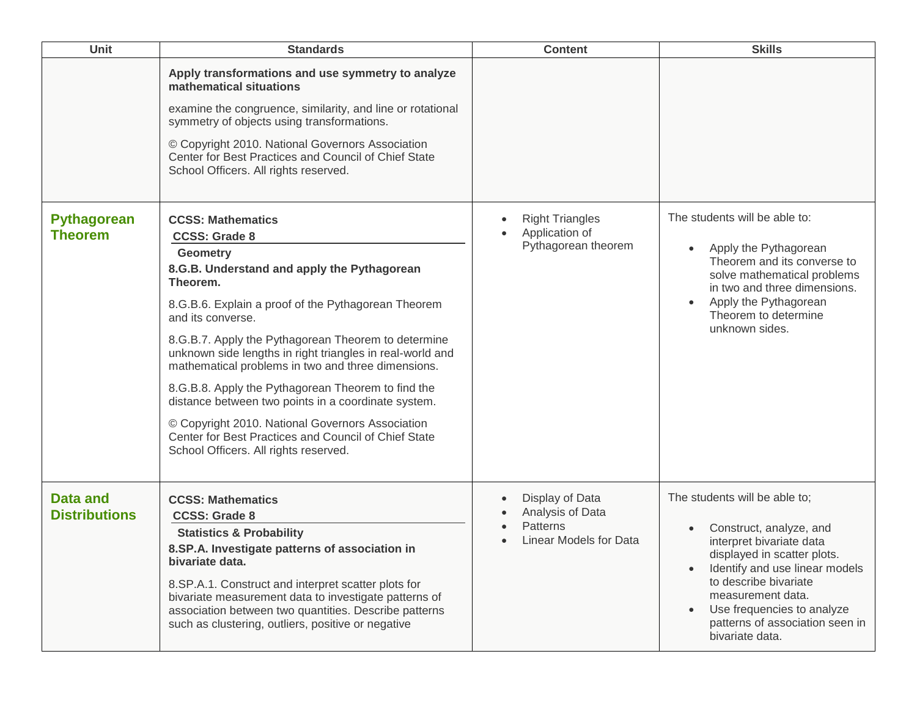| Unit                                    | <b>Standards</b>                                                                                                                                                                                                                                                                                                                                                                                                                                                                                                                                                                                                                                       | <b>Content</b>                                                                            | <b>Skills</b>                                                                                                                                                                                                                                                                           |
|-----------------------------------------|--------------------------------------------------------------------------------------------------------------------------------------------------------------------------------------------------------------------------------------------------------------------------------------------------------------------------------------------------------------------------------------------------------------------------------------------------------------------------------------------------------------------------------------------------------------------------------------------------------------------------------------------------------|-------------------------------------------------------------------------------------------|-----------------------------------------------------------------------------------------------------------------------------------------------------------------------------------------------------------------------------------------------------------------------------------------|
|                                         | Apply transformations and use symmetry to analyze<br>mathematical situations<br>examine the congruence, similarity, and line or rotational<br>symmetry of objects using transformations.<br>© Copyright 2010. National Governors Association<br>Center for Best Practices and Council of Chief State<br>School Officers. All rights reserved.                                                                                                                                                                                                                                                                                                          |                                                                                           |                                                                                                                                                                                                                                                                                         |
| <b>Pythagorean</b><br><b>Theorem</b>    | <b>CCSS: Mathematics</b><br><b>CCSS: Grade 8</b><br><b>Geometry</b><br>8.G.B. Understand and apply the Pythagorean<br>Theorem.<br>8.G.B.6. Explain a proof of the Pythagorean Theorem<br>and its converse.<br>8.G.B.7. Apply the Pythagorean Theorem to determine<br>unknown side lengths in right triangles in real-world and<br>mathematical problems in two and three dimensions.<br>8.G.B.8. Apply the Pythagorean Theorem to find the<br>distance between two points in a coordinate system.<br>© Copyright 2010. National Governors Association<br>Center for Best Practices and Council of Chief State<br>School Officers. All rights reserved. | <b>Right Triangles</b><br>$\bullet$<br>Application of<br>$\bullet$<br>Pythagorean theorem | The students will be able to:<br>Apply the Pythagorean<br>Theorem and its converse to<br>solve mathematical problems<br>in two and three dimensions.<br>Apply the Pythagorean<br>Theorem to determine<br>unknown sides.                                                                 |
| <b>Data and</b><br><b>Distributions</b> | <b>CCSS: Mathematics</b><br><b>CCSS: Grade 8</b><br><b>Statistics &amp; Probability</b><br>8.SP.A. Investigate patterns of association in<br>bivariate data.<br>8.SP.A.1. Construct and interpret scatter plots for<br>bivariate measurement data to investigate patterns of<br>association between two quantities. Describe patterns<br>such as clustering, outliers, positive or negative                                                                                                                                                                                                                                                            | Display of Data<br>$\bullet$<br>Analysis of Data<br>Patterns<br>Linear Models for Data    | The students will be able to;<br>Construct, analyze, and<br>interpret bivariate data<br>displayed in scatter plots.<br>Identify and use linear models<br>to describe bivariate<br>measurement data.<br>Use frequencies to analyze<br>patterns of association seen in<br>bivariate data. |